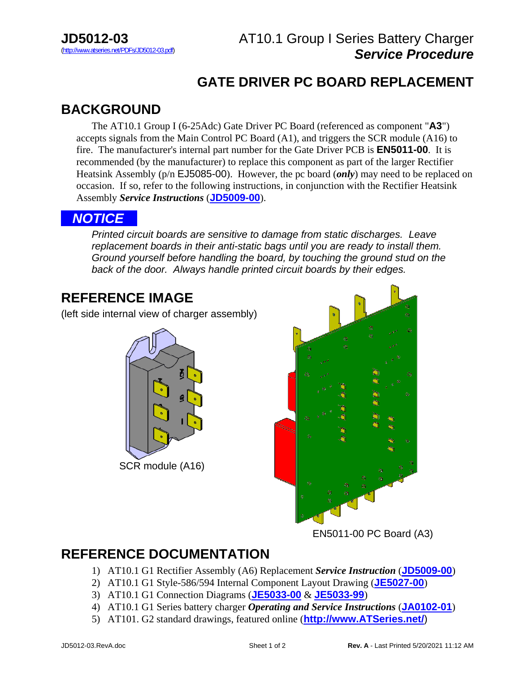## **GATE DRIVER PC BOARD REPLACEMENT**

## **BACKGROUND**

 The AT10.1 Group I (6-25Adc) Gate Driver PC Board (referenced as component "**A3**") accepts signals from the Main Control PC Board (A1), and triggers the SCR module (A16) to fire. The manufacturer's internal part number for the Gate Driver PCB is **EN5011-00**. It is recommended (by the manufacturer) to replace this component as part of the larger Rectifier Heatsink Assembly (p/n EJ5085-00). However, the pc board (*only*) may need to be replaced on occasion. If so, refer to the following instructions, in conjunction with the Rectifier Heatsink Assembly *Service Instructions* (**[JD5009-00](http://www.atseries.net/PDFs/JD5009-00.pdf)**).

#### *NOTICE. .*.

*Printed circuit boards are sensitive to damage from static discharges. Leave replacement boards in their anti-static bags until you are ready to install them. Ground yourself before handling the board, by touching the ground stud on the back of the door. Always handle printed circuit boards by their edges.* 

# **REFERENCE IMAGE**

(left side internal view of charger assembly)





EN5011-00 PC Board (A3)

## **REFERENCE DOCUMENTATION**

- 1) AT10.1 G1 Rectifier Assembly (A6) Replacement *Service Instruction* (**[JD5009-00](http://www.atseries.net/PDFs/JD5009-00.pdf)**)
- 2) AT10.1 G1 Style-586/594 Internal Component Layout Drawing (**[JE5027-00](http://www.atseries.net/PDFs/JE5027-00.pdf)**)
- 3) AT10.1 G1 Connection Diagrams (**[JE5033-00](http://www.atseries.net/PDFs/JE5033-00.pdf)** & **[JE5033-99](http://www.atseries.net/PDFs/JE5033-99.pdf)**)
- 4) AT10.1 G1 Series battery charger *Operating and Service Instructions* (**[JA0102-01](http://www.atseries.net/PDFs/JA0102-01.pdf)**)
- 5) AT101. G2 standard drawings, featured online (**[http://www.ATSeries.net/](http://www.atseries.net/)**)